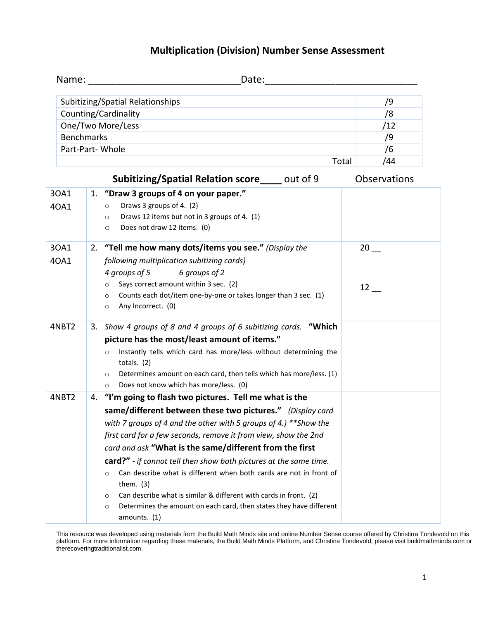## **Multiplication (Division) Number Sense Assessment**

|       | Date: and the contract of the contract of the contract of the contract of the contract of the contract of the contract of the contract of the contract of the contract of the contract of the contract of the contract of the<br>Name: Name and the second contract of the second contract of the second contract of the second contract of the |              |  |
|-------|-------------------------------------------------------------------------------------------------------------------------------------------------------------------------------------------------------------------------------------------------------------------------------------------------------------------------------------------------|--------------|--|
|       | Subitizing/Spatial Relationships                                                                                                                                                                                                                                                                                                                | /9           |  |
|       | Counting/Cardinality<br><u> 1980 - Jan Sterling von Berling von Berling von Berling von Berling von Berling von Berling von Berling von B</u>                                                                                                                                                                                                   | /8           |  |
|       | One/Two More/Less                                                                                                                                                                                                                                                                                                                               | /12          |  |
|       | <b>Benchmarks</b>                                                                                                                                                                                                                                                                                                                               | /9           |  |
|       | Part-Part-Whole                                                                                                                                                                                                                                                                                                                                 | /6           |  |
|       | Total                                                                                                                                                                                                                                                                                                                                           | /44          |  |
|       | Subitizing/Spatial Relation score____ out of 9                                                                                                                                                                                                                                                                                                  | Observations |  |
| 30A1  | 1. "Draw 3 groups of 4 on your paper."                                                                                                                                                                                                                                                                                                          |              |  |
| 40A1  | Draws 3 groups of 4. (2)<br>$\circ$                                                                                                                                                                                                                                                                                                             |              |  |
|       | Draws 12 items but not in 3 groups of 4. (1)<br>$\circ$                                                                                                                                                                                                                                                                                         |              |  |
|       | Does not draw 12 items. (0)<br>$\circ$                                                                                                                                                                                                                                                                                                          |              |  |
| 30A1  | 2. "Tell me how many dots/items you see." (Display the                                                                                                                                                                                                                                                                                          | 20           |  |
| 40A1  | following multiplication subitizing cards)                                                                                                                                                                                                                                                                                                      |              |  |
|       | 4 groups of 5<br>6 groups of 2                                                                                                                                                                                                                                                                                                                  |              |  |
|       | Says correct amount within 3 sec. (2)<br>$\circ$                                                                                                                                                                                                                                                                                                | 12           |  |
|       | Counts each dot/item one-by-one or takes longer than 3 sec. (1)<br>$\circ$                                                                                                                                                                                                                                                                      |              |  |
|       | Any Incorrect. (0)<br>$\circ$                                                                                                                                                                                                                                                                                                                   |              |  |
| 4NBT2 | 3. Show 4 groups of 8 and 4 groups of 6 subitizing cards. "Which                                                                                                                                                                                                                                                                                |              |  |
|       | picture has the most/least amount of items."                                                                                                                                                                                                                                                                                                    |              |  |
|       | Instantly tells which card has more/less without determining the<br>$\circ$                                                                                                                                                                                                                                                                     |              |  |
|       | totals. $(2)$                                                                                                                                                                                                                                                                                                                                   |              |  |
|       | Determines amount on each card, then tells which has more/less. (1)<br>$\circ$                                                                                                                                                                                                                                                                  |              |  |
|       | Does not know which has more/less. (0)<br>$\circ$                                                                                                                                                                                                                                                                                               |              |  |
| 4NBT2 | 4. "I'm going to flash two pictures. Tell me what is the                                                                                                                                                                                                                                                                                        |              |  |
|       | same/different between these two pictures." (Display card                                                                                                                                                                                                                                                                                       |              |  |
|       | with 7 groups of 4 and the other with 5 groups of 4.) ** Show the                                                                                                                                                                                                                                                                               |              |  |
|       | first card for a few seconds, remove it from view, show the 2nd                                                                                                                                                                                                                                                                                 |              |  |
|       | card and ask "What is the same/different from the first                                                                                                                                                                                                                                                                                         |              |  |
|       | card?" - if cannot tell then show both pictures at the same time.                                                                                                                                                                                                                                                                               |              |  |
|       | Can describe what is different when both cards are not in front of<br>$\circ$<br>them. $(3)$                                                                                                                                                                                                                                                    |              |  |
|       | Can describe what is similar & different with cards in front. (2)<br>$\circ$                                                                                                                                                                                                                                                                    |              |  |
|       | Determines the amount on each card, then states they have different<br>$\circ$<br>amounts. (1)                                                                                                                                                                                                                                                  |              |  |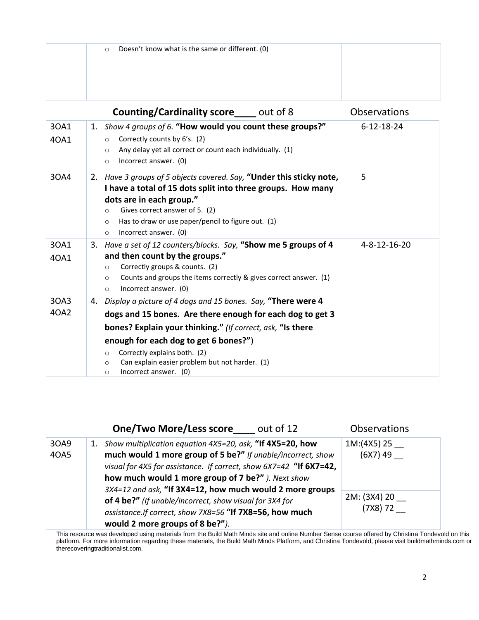| Doesn't know what is the same or different. (0)<br>$\circ$ |  |
|------------------------------------------------------------|--|
|                                                            |  |
|                                                            |  |
|                                                            |  |

|              | <b>Counting/Cardinality score</b> out of 8                                                                                                                                                                                                                                                                                                                                | Observations       |
|--------------|---------------------------------------------------------------------------------------------------------------------------------------------------------------------------------------------------------------------------------------------------------------------------------------------------------------------------------------------------------------------------|--------------------|
| 30A1<br>40A1 | 1. Show 4 groups of 6. "How would you count these groups?"<br>Correctly counts by 6's. (2)<br>$\circ$<br>Any delay yet all correct or count each individually. (1)<br>$\circ$<br>Incorrect answer. (0)<br>$\circ$                                                                                                                                                         | $6 - 12 - 18 - 24$ |
| 30A4         | 2. Have 3 groups of 5 objects covered. Say, "Under this sticky note,<br>I have a total of 15 dots split into three groups. How many<br>dots are in each group."<br>Gives correct answer of 5. (2)<br>O<br>Has to draw or use paper/pencil to figure out. (1)<br>$\circ$<br>Incorrect answer. (0)<br>$\circ$                                                               | 5                  |
| 30A1<br>40A1 | 3. Have a set of 12 counters/blocks. Say, "Show me 5 groups of 4<br>and then count by the groups."<br>Correctly groups & counts. (2)<br>$\circ$<br>Counts and groups the items correctly & gives correct answer. (1)<br>$\circ$<br>Incorrect answer. (0)<br>$\circ$                                                                                                       | 4-8-12-16-20       |
| 30A3<br>40A2 | 4. Display a picture of 4 dogs and 15 bones. Say, "There were 4<br>dogs and 15 bones. Are there enough for each dog to get 3<br>bones? Explain your thinking." (If correct, ask, "Is there<br>enough for each dog to get 6 bones?")<br>Correctly explains both. (2)<br>$\circ$<br>Can explain easier problem but not harder. (1)<br>$\circ$<br>Incorrect answer. (0)<br>O |                    |

|                                                                                                                                                                                                                                                                            | <b>One/Two More/Less score</b><br>out of 12 | <b>Observations</b>      |
|----------------------------------------------------------------------------------------------------------------------------------------------------------------------------------------------------------------------------------------------------------------------------|---------------------------------------------|--------------------------|
| Show multiplication equation 4X5=20, ask, "If 4X5=20, how<br>30A9<br>1.<br>much would 1 more group of 5 be?" If unable/incorrect, show<br>40A5<br>visual for 4X5 for assistance. If correct, show 6X7=42 "If 6X7=42,<br>how much would 1 more group of 7 be?" ). Next show | 1M:(4X5) 25<br>$(6X7)$ 49                   |                          |
| 3X4=12 and ask, "If 3X4=12, how much would 2 more groups<br>of 4 be?" (If unable/incorrect, show visual for 3X4 for<br>assistance.If correct, show 7X8=56 "If 7X8=56, how much<br>would 2 more groups of 8 be?").                                                          |                                             | 2M: (3X4) 20<br>(7X8) 72 |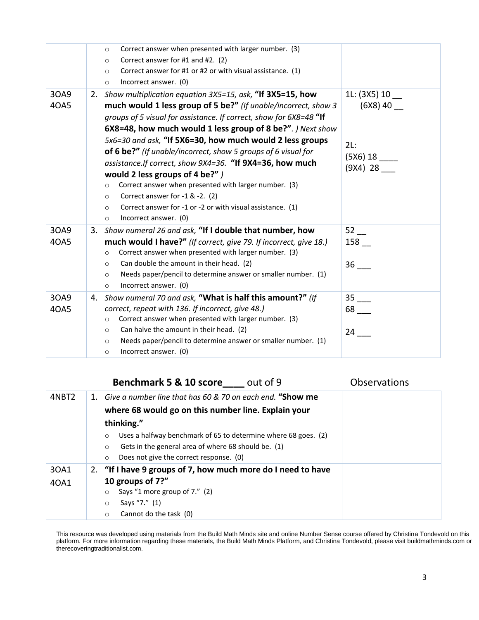|              | Correct answer when presented with larger number. (3)<br>$\circ$<br>Correct answer for #1 and #2. (2)<br>$\circ$<br>Correct answer for #1 or #2 or with visual assistance. (1)<br>$\circ$<br>Incorrect answer. (0)<br>$\circ$                                                                                                                                                                                                                           |                                 |
|--------------|---------------------------------------------------------------------------------------------------------------------------------------------------------------------------------------------------------------------------------------------------------------------------------------------------------------------------------------------------------------------------------------------------------------------------------------------------------|---------------------------------|
| 30A9<br>40A5 | 2. Show multiplication equation 3X5=15, ask, "If 3X5=15, how<br>much would 1 less group of 5 be?" (If unable/incorrect, show 3<br>groups of 5 visual for assistance. If correct, show for 6X8=48 "If<br>6X8=48, how much would 1 less group of 8 be?". ) Next show                                                                                                                                                                                      | 1L: (3X5) 10<br>$(6X8)$ 40      |
|              | 5x6=30 and ask, "If 5X6=30, how much would 2 less groups<br>of 6 be?" (If unable/incorrect, show 5 groups of 6 visual for<br>assistance.If correct, show 9X4=36. "If 9X4=36, how much<br>would 2 less groups of 4 be?" )<br>Correct answer when presented with larger number. (3)<br>$\circ$<br>Correct answer for -1 & -2. (2)<br>$\circ$<br>Correct answer for -1 or -2 or with visual assistance. (1)<br>$\circ$<br>Incorrect answer. (0)<br>$\circ$ | 2L:<br>(9X4) 28                 |
| 30A9<br>40A5 | 3. Show numeral 26 and ask, "If I double that number, how<br>much would I have?" (If correct, give 79. If incorrect, give 18.)<br>Correct answer when presented with larger number. (3)<br>$\circ$<br>Can double the amount in their head. (2)<br>$\circ$<br>Needs paper/pencil to determine answer or smaller number. (1)<br>$\circ$<br>Incorrect answer. (0)<br>$\circ$                                                                               | 52<br>$158$ $-$<br>36           |
| 30A9<br>40A5 | 4. Show numeral 70 and ask, "What is half this amount?" (If<br>correct, repeat with 136. If incorrect, give 48.)<br>Correct answer when presented with larger number. (3)<br>$\circ$<br>Can halve the amount in their head. (2)<br>$\circ$<br>Needs paper/pencil to determine answer or smaller number. (1)<br>$\circ$<br>Incorrect answer. (0)<br>$\circ$                                                                                              | 35<br>$68$ <sub>---</sub><br>24 |

## **Benchmark 5 & 10 score\_\_\_\_** out of 9 Observations

| 4NBT2 | 1. Give a number line that has 60 & 70 on each end. "Show me              |  |  |
|-------|---------------------------------------------------------------------------|--|--|
|       | where 68 would go on this number line. Explain your                       |  |  |
|       | thinking."                                                                |  |  |
|       | Uses a halfway benchmark of 65 to determine where 68 goes. (2)<br>$\circ$ |  |  |
|       | Gets in the general area of where 68 should be. (1)<br>$\circ$            |  |  |
|       | Does not give the correct response. (0)<br>$\circ$                        |  |  |
| 30A1  | 2. "If I have 9 groups of 7, how much more do I need to have              |  |  |
| 40A1  | 10 groups of 7?"                                                          |  |  |
|       | Says "1 more group of 7." (2)<br>$\circ$                                  |  |  |
|       | Says "7." (1)<br>$\circ$                                                  |  |  |
|       | Cannot do the task (0)<br>$\circ$                                         |  |  |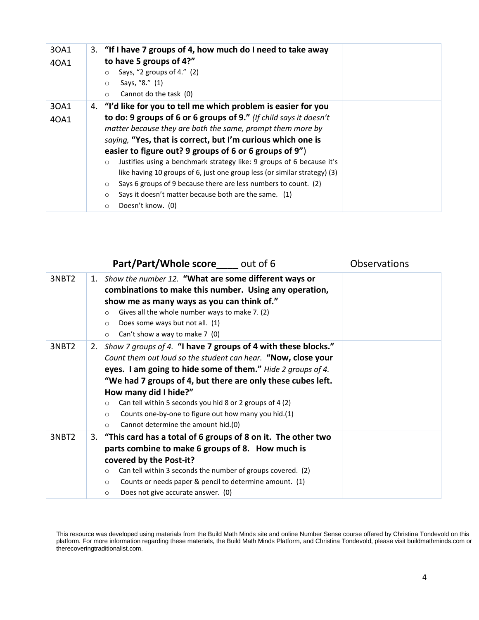| 30A1<br>40A1 | 3. "If I have 7 groups of 4, how much do I need to take away<br>to have 5 groups of 4?"<br>Says, "2 groups of 4." (2)<br>$\circ$<br>Says, "8." (1)<br>$\circ$<br>Cannot do the task (0)<br>$\circ$                                                                                                                                                                                                                                                                                                                                                                                                                                                                             |
|--------------|--------------------------------------------------------------------------------------------------------------------------------------------------------------------------------------------------------------------------------------------------------------------------------------------------------------------------------------------------------------------------------------------------------------------------------------------------------------------------------------------------------------------------------------------------------------------------------------------------------------------------------------------------------------------------------|
| 30A1<br>40A1 | 4. "I'd like for you to tell me which problem is easier for you<br>to do: 9 groups of 6 or 6 groups of 9." (If child says it doesn't<br>matter because they are both the same, prompt them more by<br>saying, "Yes, that is correct, but I'm curious which one is<br>easier to figure out? 9 groups of 6 or 6 groups of 9")<br>Justifies using a benchmark strategy like: 9 groups of 6 because it's<br>$\circ$<br>like having 10 groups of 6, just one group less (or similar strategy) (3)<br>Says 6 groups of 9 because there are less numbers to count. (2)<br>$\circ$<br>Says it doesn't matter because both are the same. (1)<br>$\circ$<br>Doesn't know. (0)<br>$\circ$ |

|       | Part/Part/Whole score out of 6                                                                                                                                                                                                                                                                                                                                                                                                                                                       | <b>Observations</b> |
|-------|--------------------------------------------------------------------------------------------------------------------------------------------------------------------------------------------------------------------------------------------------------------------------------------------------------------------------------------------------------------------------------------------------------------------------------------------------------------------------------------|---------------------|
| 3NBT2 | 1. Show the number 12. "What are some different ways or<br>combinations to make this number. Using any operation,<br>show me as many ways as you can think of."<br>Gives all the whole number ways to make 7. (2)<br>$\circ$<br>Does some ways but not all. (1)<br>$\circ$<br>Can't show a way to make 7 (0)<br>$\circ$                                                                                                                                                              |                     |
| 3NBT2 | 2. Show 7 groups of 4. "I have 7 groups of 4 with these blocks."<br>Count them out loud so the student can hear. "Now, close your<br>eyes. I am going to hide some of them." Hide 2 groups of 4.<br>"We had 7 groups of 4, but there are only these cubes left.<br>How many did I hide?"<br>Can tell within 5 seconds you hid 8 or 2 groups of 4 (2)<br>$\circ$<br>Counts one-by-one to figure out how many you hid.(1)<br>$\circ$<br>Cannot determine the amount hid.(0)<br>$\circ$ |                     |
| 3NBT2 | 3. "This card has a total of 6 groups of 8 on it. The other two<br>parts combine to make 6 groups of 8. How much is<br>covered by the Post-it?<br>Can tell within 3 seconds the number of groups covered. (2)<br>$\circ$<br>Counts or needs paper & pencil to determine amount. (1)<br>$\circ$<br>Does not give accurate answer. (0)<br>$\circ$                                                                                                                                      |                     |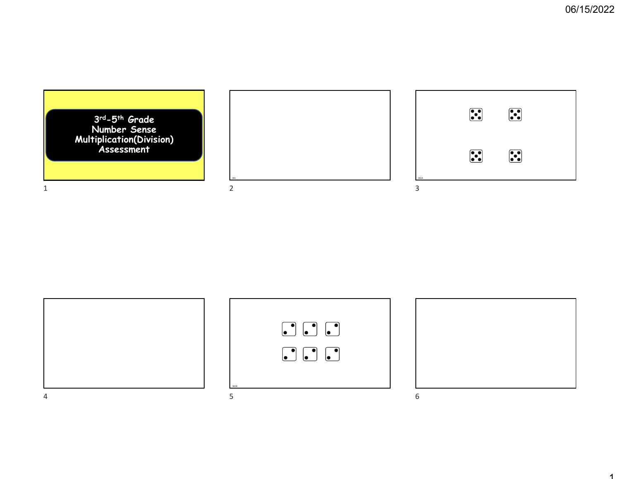





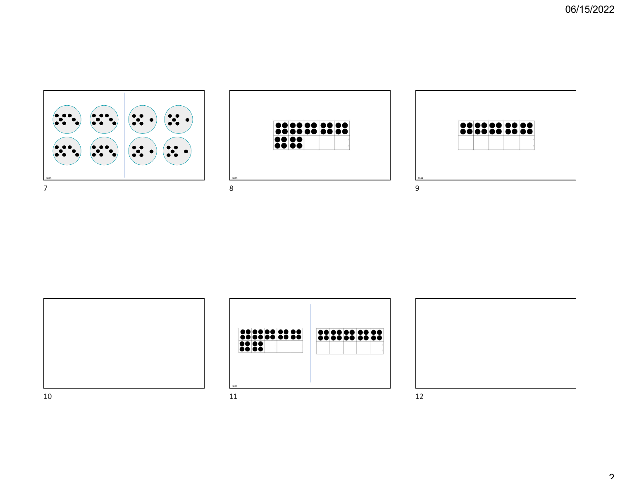





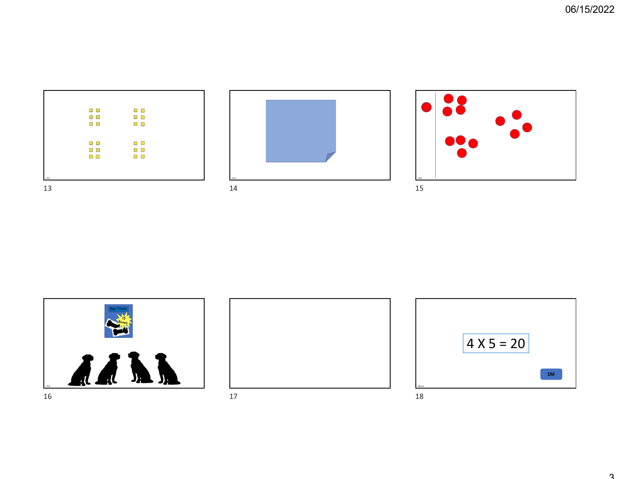|     | $\Box$        | $\Box$ $\Box$ |
|-----|---------------|---------------|
|     | $\Box$        | $\Box$ $\Box$ |
|     |               |               |
|     | $\Box$ $\Box$ | $\Box$        |
|     |               |               |
|     |               |               |
|     |               |               |
|     |               |               |
|     | $\Box$ $\Box$ | $\Box$        |
|     |               |               |
|     | $\Box$ $\Box$ | $\Box$ $\Box$ |
|     |               |               |
|     | $\Box$        | $\Box$        |
|     |               |               |
|     |               |               |
|     |               |               |
|     |               |               |
|     |               |               |
| CC1 |               |               |
|     |               |               |
| 12  |               |               |









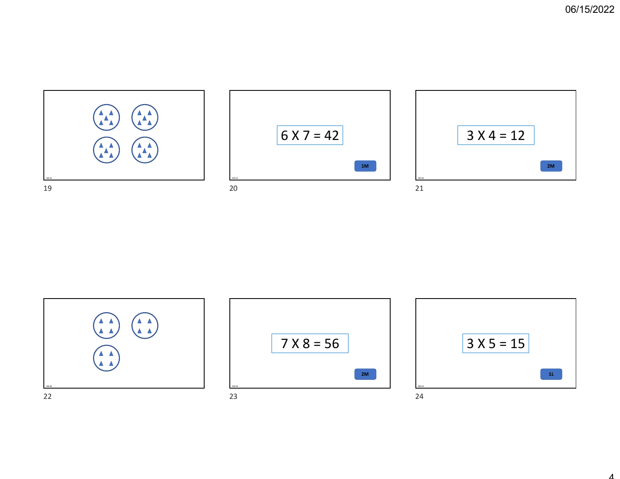





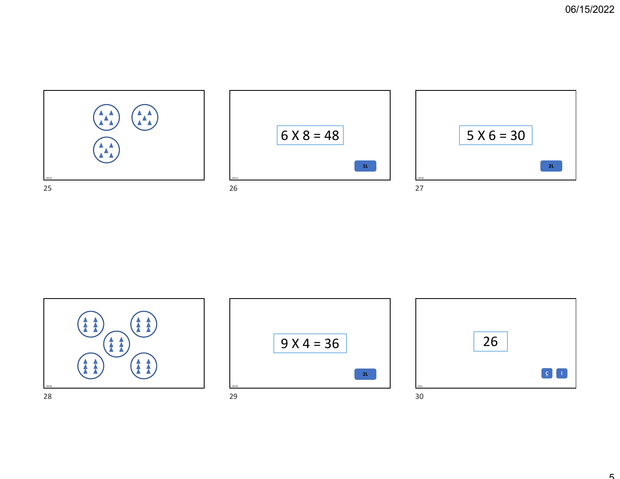





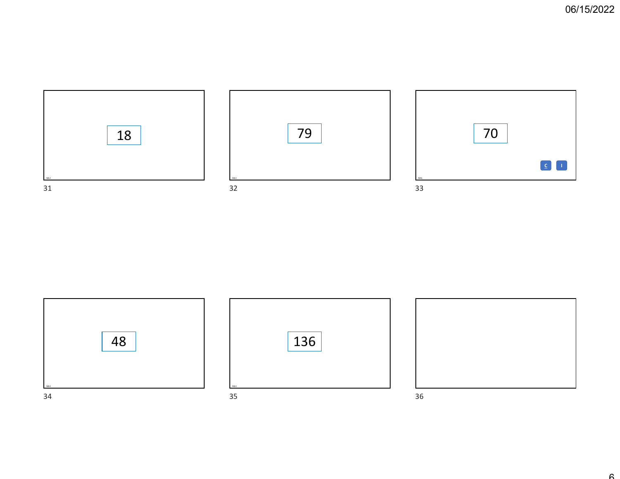





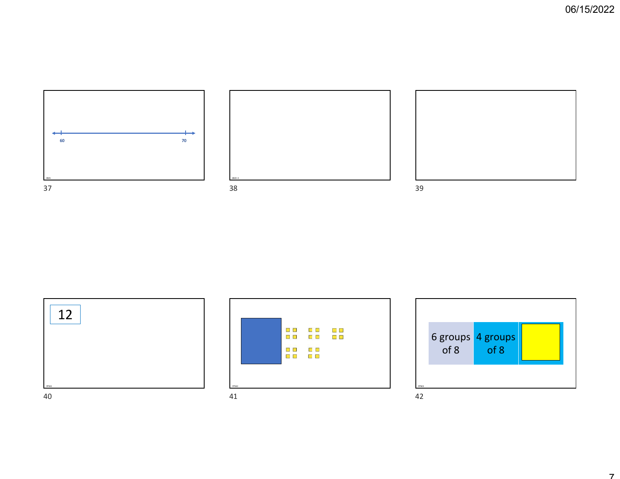